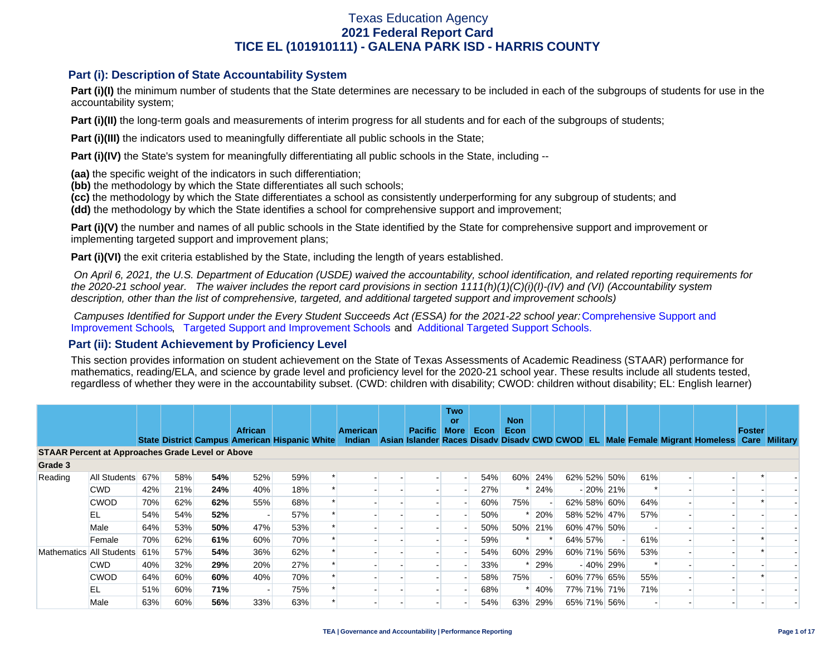### **Part (i): Description of State Accountability System**

Part (i)(I) the minimum number of students that the State determines are necessary to be included in each of the subgroups of students for use in the accountability system;

**Part (i)(II)** the long-term goals and measurements of interim progress for all students and for each of the subgroups of students;

**Part (i)(III)** the indicators used to meaningfully differentiate all public schools in the State;

**Part (i)(IV)** the State's system for meaningfully differentiating all public schools in the State, including --

**(aa)** the specific weight of the indicators in such differentiation;

**(bb)** the methodology by which the State differentiates all such schools;

**(cc)** the methodology by which the State differentiates a school as consistently underperforming for any subgroup of students; and

**(dd)** the methodology by which the State identifies a school for comprehensive support and improvement;

**Part (i)(V)** the number and names of all public schools in the State identified by the State for comprehensive support and improvement or implementing targeted support and improvement plans;

**Part (i)(VI)** the exit criteria established by the State, including the length of years established.

 *On April 6, 2021, the U.S. Department of Education (USDE) waived the accountability, school identification, and related reporting requirements for the 2020-21 school year. The waiver includes the report card provisions in section 1111(h)(1)(C)(i)(I)-(IV) and (VI) (Accountability system description, other than the list of comprehensive, targeted, and additional targeted support and improvement schools)* 

*Campuses Identified for Support under the Every Student Succeeds Act (ESSA) for the 2021-22 school year:* [Comprehensive Support and](https://tea.texas.gov/sites/default/files/comprehensive_support_2021.xlsx) [Improvement Schools](https://tea.texas.gov/sites/default/files/comprehensive_support_2021.xlsx), [Targeted Support and Improvement Schools](https://tea.texas.gov/sites/default/files/targeted_support_2021.xlsx) and [Additional Targeted Support Schools.](https://tea.texas.gov/sites/default/files/additional_targeted_support_2021.xlsx)

### **Part (ii): Student Achievement by Proficiency Level**

This section provides information on student achievement on the State of Texas Assessments of Academic Readiness (STAAR) performance for mathematics, reading/ELA, and science by grade level and proficiency level for the 2020-21 school year. These results include all students tested, regardless of whether they were in the accountability subset. (CWD: children with disability; CWOD: children without disability; EL: English learner)

|                                                         |              |     |     |     |                                                                 |     |  |                           |  |                | <b>Two</b><br><b>or</b> |      | <b>Non</b> |         |         |             |     |                                                                                           |        |  |
|---------------------------------------------------------|--------------|-----|-----|-----|-----------------------------------------------------------------|-----|--|---------------------------|--|----------------|-------------------------|------|------------|---------|---------|-------------|-----|-------------------------------------------------------------------------------------------|--------|--|
|                                                         |              |     |     |     | <b>African</b><br>State District Campus American Hispanic White |     |  | <b>American</b><br>Indian |  | <b>Pacific</b> | More                    | Econ | Econ       |         |         |             |     | Asian Islander Races Disady Disady CWD CWOD EL Male Female Migrant Homeless Care Military | Foster |  |
| <b>STAAR Percent at Approaches Grade Level or Above</b> |              |     |     |     |                                                                 |     |  |                           |  |                |                         |      |            |         |         |             |     |                                                                                           |        |  |
| Grade 3                                                 |              |     |     |     |                                                                 |     |  |                           |  |                |                         |      |            |         |         |             |     |                                                                                           |        |  |
| Reading                                                 | All Students | 67% | 58% | 54% | 52%                                                             | 59% |  |                           |  |                |                         | 54%  | 60%        | 24%     |         | 62% 52% 50% | 61% |                                                                                           |        |  |
|                                                         | <b>CWD</b>   | 42% | 21% | 24% | 40%                                                             | 18% |  |                           |  |                |                         | 27%  |            | 24%     |         | $-20\%$ 21% |     |                                                                                           |        |  |
|                                                         | <b>CWOD</b>  | 70% | 62% | 62% | 55%                                                             | 68% |  |                           |  |                |                         | 60%  | 75%        |         |         | 62% 58% 60% | 64% |                                                                                           |        |  |
|                                                         | EL           | 54% | 54% | 52% |                                                                 | 57% |  |                           |  |                |                         | 50%  |            | 20%     |         | 58% 52% 47% | 57% |                                                                                           |        |  |
|                                                         | Male         | 64% | 53% | 50% | 47%                                                             | 53% |  |                           |  |                |                         | 50%  |            | 50% 21% |         | 60% 47% 50% |     |                                                                                           |        |  |
|                                                         | Female       | 70% | 62% | 61% | 60%                                                             | 70% |  |                           |  |                |                         | 59%  |            |         | 64% 57% |             | 61% |                                                                                           |        |  |
| Mathematics All Students                                |              | 61% | 57% | 54% | 36%                                                             | 62% |  |                           |  |                |                         | 54%  |            | 60% 29% |         | 60% 71% 56% | 53% |                                                                                           |        |  |
|                                                         | <b>CWD</b>   | 40% | 32% | 29% | 20%                                                             | 27% |  |                           |  |                |                         | 33%  |            | 29%     |         | $-40\%$ 29% | ∗   |                                                                                           |        |  |
|                                                         | <b>CWOD</b>  | 64% | 60% | 60% | 40%                                                             | 70% |  |                           |  |                |                         | 58%  | 75%        |         |         | 60% 77% 65% | 55% |                                                                                           |        |  |
|                                                         | EL           | 51% | 60% | 71% |                                                                 | 75% |  |                           |  |                |                         | 68%  |            | 40%     |         | 77% 71% 71% | 71% |                                                                                           |        |  |
|                                                         | Male         | 63% | 60% | 56% | 33%                                                             | 63% |  |                           |  |                |                         | 54%  | 63%        | 29%     |         | 65% 71% 56% |     |                                                                                           |        |  |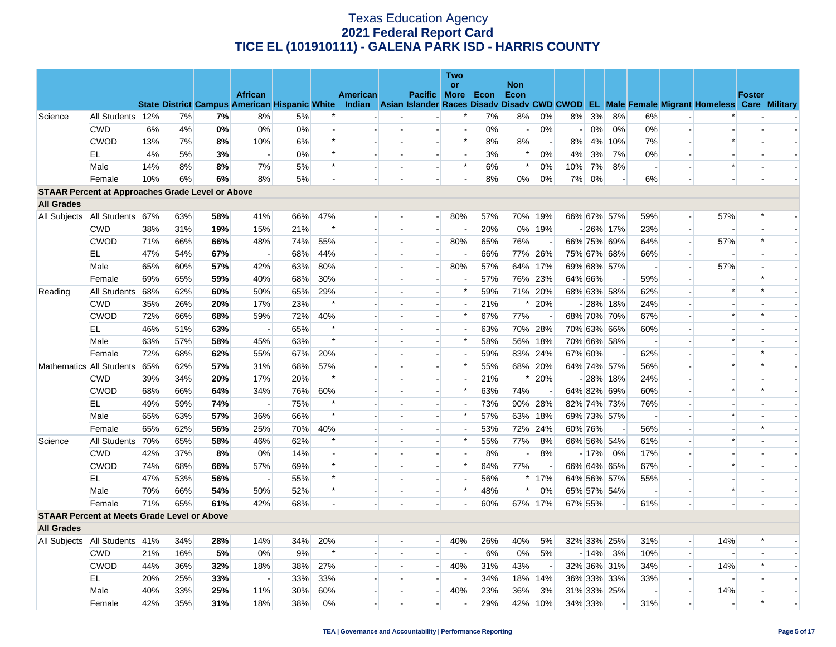|                                                         |                  |     |     |     |                          |     |        |          |                          |                          | Two                      |      |                    |                          |                          |        |             |                          |                          |                                                                                                                                                |               |  |
|---------------------------------------------------------|------------------|-----|-----|-----|--------------------------|-----|--------|----------|--------------------------|--------------------------|--------------------------|------|--------------------|--------------------------|--------------------------|--------|-------------|--------------------------|--------------------------|------------------------------------------------------------------------------------------------------------------------------------------------|---------------|--|
|                                                         |                  |     |     |     | <b>African</b>           |     |        | American |                          | Pacific More             | or                       | Econ | <b>Non</b><br>Econ |                          |                          |        |             |                          |                          |                                                                                                                                                | <b>Foster</b> |  |
|                                                         |                  |     |     |     |                          |     |        |          |                          |                          |                          |      |                    |                          |                          |        |             |                          |                          | State District Campus American Hispanic White Indian Asian Islander Races Disady Disady CWD CWOD EL Male Female Migrant Homeless Care Military |               |  |
| Science                                                 | All Students 12% |     | 7%  | 7%  | 8%                       | 5%  |        |          |                          |                          | $\ast$                   | 7%   | 8%                 | 0%                       | 8%                       | 3%     | 8%          | 6%                       |                          |                                                                                                                                                |               |  |
|                                                         | <b>CWD</b>       | 6%  | 4%  | 0%  | 0%                       | 0%  |        |          |                          |                          | $\overline{a}$           | 0%   |                    | 0%                       | $\overline{\phantom{a}}$ | $0\%$  | 0%          | 0%                       |                          |                                                                                                                                                |               |  |
|                                                         | <b>CWOD</b>      | 13% | 7%  | 8%  | 10%                      | 6%  | $\ast$ |          | $\overline{a}$           | $\overline{a}$           | $\ast$                   | 8%   | 8%                 | $\overline{a}$           | 8%                       |        | 4% 10%      | 7%                       | $\overline{a}$           | $\ast$                                                                                                                                         |               |  |
|                                                         | EL               | 4%  | 5%  | 3%  | $\overline{a}$           | 0%  | $\ast$ |          |                          |                          | $\overline{\phantom{a}}$ | 3%   | $\ast$             | 0%                       | 4%                       | 3%     | 7%          | 0%                       |                          |                                                                                                                                                |               |  |
|                                                         | Male             | 14% | 8%  | 8%  | 7%                       | 5%  | $\ast$ |          |                          |                          | $\ast$                   | 6%   | $\ast$             | 0%                       | 10%                      | 7%     | 8%          | $\overline{\phantom{a}}$ |                          | $\ast$                                                                                                                                         |               |  |
|                                                         | Female           | 10% | 6%  | 6%  | 8%                       | 5%  |        |          |                          |                          |                          | 8%   | $0\%$              | 0%                       | 7%                       | 0%     |             | 6%                       |                          |                                                                                                                                                |               |  |
| <b>STAAR Percent at Approaches Grade Level or Above</b> |                  |     |     |     |                          |     |        |          |                          |                          |                          |      |                    |                          |                          |        |             |                          |                          |                                                                                                                                                |               |  |
| <b>All Grades</b>                                       |                  |     |     |     |                          |     |        |          |                          |                          |                          |      |                    |                          |                          |        |             |                          |                          |                                                                                                                                                |               |  |
| All Subjects                                            | All Students 67% |     | 63% | 58% | 41%                      | 66% | 47%    |          |                          | $\overline{\phantom{0}}$ | 80%                      | 57%  | 70%                | 19%                      |                          |        | 66% 67% 57% | 59%                      | $\blacksquare$           | 57%                                                                                                                                            |               |  |
|                                                         | <b>CWD</b>       | 38% | 31% | 19% | 15%                      | 21% | $\ast$ |          | $\overline{\phantom{a}}$ | $\overline{a}$           | $\overline{\phantom{a}}$ | 20%  |                    | 0% 19%                   |                          |        | $-26\%$ 17% | 23%                      | $\overline{\phantom{a}}$ |                                                                                                                                                |               |  |
|                                                         | <b>CWOD</b>      | 71% | 66% | 66% | 48%                      | 74% | 55%    |          | $\overline{\phantom{a}}$ | $\overline{\phantom{a}}$ | 80%                      | 65%  | 76%                | $\overline{a}$           |                          |        | 66% 75% 69% | 64%                      | L.                       | 57%                                                                                                                                            | $\ast$        |  |
|                                                         | EL               | 47% | 54% | 67% | $\overline{\phantom{0}}$ | 68% | 44%    |          | $\blacksquare$           | $\blacksquare$           |                          | 66%  | 77%                | 26%                      |                          |        | 75% 67% 68% | 66%                      | $\overline{\phantom{a}}$ |                                                                                                                                                |               |  |
|                                                         | Male             | 65% | 60% | 57% | 42%                      | 63% | 80%    |          | $\overline{\phantom{a}}$ | $\overline{\phantom{a}}$ | 80%                      | 57%  | 64%                | 17%                      |                          |        | 69% 68% 57% | $\sim$                   | L.                       | 57%                                                                                                                                            |               |  |
|                                                         | Female           | 69% | 65% | 59% | 40%                      | 68% | 30%    |          |                          | $\overline{a}$           |                          | 57%  |                    | 76% 23%                  | 64% 66%                  |        |             | 59%                      | $\overline{a}$           |                                                                                                                                                |               |  |
| Reading                                                 | All Students 68% |     | 62% | 60% | 50%                      | 65% | 29%    |          | $\sim$                   | $\overline{a}$           | $\ast$                   | 59%  |                    | 71% 20%                  |                          |        | 68% 63% 58% | 62%                      | ÷.                       | $\ast$                                                                                                                                         |               |  |
|                                                         | <b>CWD</b>       | 35% | 26% | 20% | 17%                      | 23% | $\ast$ |          |                          | $\overline{a}$           | $\blacksquare$           | 21%  | $\ast$             | 20%                      |                          |        | $-28\%$ 18% | 24%                      |                          |                                                                                                                                                |               |  |
|                                                         | <b>CWOD</b>      | 72% | 66% | 68% | 59%                      | 72% | 40%    |          | $\overline{a}$           | $\overline{a}$           | $\ast$                   | 67%  | 77%                |                          |                          |        | 68% 70% 70% | 67%                      | $\overline{a}$           | $\ast$                                                                                                                                         | $\ast$        |  |
|                                                         | EL               | 46% | 51% | 63% |                          | 65% | $\ast$ |          |                          |                          | $\overline{a}$           | 63%  |                    | 70% 28%                  |                          |        | 70% 63% 66% | 60%                      |                          |                                                                                                                                                |               |  |
|                                                         | Male             | 63% | 57% | 58% | 45%                      | 63% | $\ast$ |          |                          | $\overline{a}$           | $\ast$                   | 58%  | 56%                | 18%                      |                          |        | 70% 66% 58% | $\sim$                   |                          | $\ast$                                                                                                                                         |               |  |
|                                                         | Female           | 72% | 68% | 62% | 55%                      | 67% | 20%    |          |                          |                          | $\blacksquare$           | 59%  |                    | 83% 24%                  | 67% 60%                  |        |             | 62%                      |                          |                                                                                                                                                |               |  |
| Mathematics All Students 65%                            |                  |     | 62% | 57% | 31%                      | 68% | 57%    |          |                          | $\blacksquare$           | $\ast$                   | 55%  |                    | 68% 20%                  |                          |        | 64% 74% 57% | 56%                      | $\overline{\phantom{a}}$ |                                                                                                                                                |               |  |
|                                                         | <b>CWD</b>       | 39% | 34% | 20% | 17%                      | 20% | $\ast$ |          |                          | $\overline{a}$           | $\overline{a}$           | 21%  | $\ast$             | 20%                      |                          |        | $-28\%$ 18% | 24%                      | ÷.                       |                                                                                                                                                |               |  |
|                                                         | <b>CWOD</b>      | 68% | 66% | 64% | 34%                      | 76% | 60%    |          |                          | $\blacksquare$           | $\ast$                   | 63%  | 74%                |                          |                          |        | 64% 82% 69% | 60%                      |                          | *                                                                                                                                              |               |  |
|                                                         | EL.              | 49% | 59% | 74% | $\overline{\phantom{a}}$ | 75% | $\ast$ |          |                          | $\overline{a}$           | $\overline{\phantom{a}}$ | 73%  |                    | 90% 28%                  |                          |        | 82% 74% 73% | 76%                      | $\overline{a}$           |                                                                                                                                                |               |  |
|                                                         | Male             | 65% | 63% | 57% | 36%                      | 66% | $\ast$ |          |                          | $\blacksquare$           | $\ast$                   | 57%  | 63%                | 18%                      |                          |        | 69% 73% 57% |                          |                          | $\ast$                                                                                                                                         |               |  |
|                                                         | Female           | 65% | 62% | 56% | 25%                      | 70% | 40%    |          | $\overline{a}$           | $\overline{\phantom{a}}$ | $\overline{\phantom{a}}$ | 53%  |                    | 72% 24%                  | 60% 76%                  |        | $\sim$      | 56%                      | $\overline{a}$           |                                                                                                                                                | ∗             |  |
| Science                                                 | All Students 70% |     | 65% | 58% | 46%                      | 62% | $\ast$ |          |                          |                          | $\ast$                   | 55%  | 77%                | 8%                       |                          |        | 66% 56% 54% | 61%                      |                          | $\ast$                                                                                                                                         |               |  |
|                                                         | <b>CWD</b>       | 42% | 37% | 8%  | 0%                       | 14% |        |          |                          | $\blacksquare$           | $\blacksquare$           | 8%   |                    | 8%                       |                          | $-17%$ | 0%          | 17%                      |                          |                                                                                                                                                |               |  |
|                                                         | <b>CWOD</b>      | 74% | 68% | 66% | 57%                      | 69% | $\ast$ |          |                          |                          | $\ast$                   | 64%  | 77%                | $\overline{\phantom{a}}$ |                          |        | 66% 64% 65% | 67%                      | $\overline{a}$           |                                                                                                                                                |               |  |
|                                                         | EL               | 47% | 53% | 56% |                          | 55% | $\ast$ |          |                          | $\blacksquare$           | $\blacksquare$           | 56%  | $\ast$             | 17%                      |                          |        | 64% 56% 57% | 55%                      |                          |                                                                                                                                                |               |  |
|                                                         | Male             | 70% | 66% | 54% | 50%                      | 52% | $\ast$ |          | $\overline{a}$           | $\overline{a}$           | $\ast$                   | 48%  | $\ast$             | 0%                       |                          |        | 65% 57% 54% | $\overline{\phantom{a}}$ | $\overline{a}$           | $\ast$                                                                                                                                         |               |  |
|                                                         | Female           | 71% | 65% | 61% | 42%                      | 68% |        |          |                          |                          | $\blacksquare$           | 60%  |                    | 67% 17%                  | 67% 55%                  |        |             | 61%                      | L.                       |                                                                                                                                                |               |  |
| <b>STAAR Percent at Meets Grade Level or Above</b>      |                  |     |     |     |                          |     |        |          |                          |                          |                          |      |                    |                          |                          |        |             |                          |                          |                                                                                                                                                |               |  |
| <b>All Grades</b>                                       |                  |     |     |     |                          |     |        |          |                          |                          |                          |      |                    |                          |                          |        |             |                          |                          |                                                                                                                                                |               |  |
| All Subjects   All Students   41%                       |                  |     | 34% | 28% | 14%                      | 34% | 20%    |          | $\overline{\phantom{a}}$ | $\overline{a}$           | 40%                      | 26%  | 40%                | 5%                       |                          |        | 32% 33% 25% | 31%                      | $\overline{a}$           | 14%                                                                                                                                            |               |  |
|                                                         | CWD              | 21% | 16% | 5%  | 0%                       | 9%  | $\ast$ |          |                          |                          | $\blacksquare$           | 6%   | $0\%$              | 5%                       |                          | $-14%$ | 3%          | 10%                      | $\Box$                   |                                                                                                                                                |               |  |
|                                                         | <b>CWOD</b>      | 44% | 36% | 32% | 18%                      | 38% | 27%    |          | $\overline{\phantom{a}}$ | $\blacksquare$           | 40%                      | 31%  | 43%                | $\overline{\phantom{a}}$ |                          |        | 32% 36% 31% | 34%                      | $\overline{\phantom{a}}$ | 14%                                                                                                                                            |               |  |
|                                                         | EL               | 20% | 25% | 33% |                          | 33% | 33%    |          |                          |                          |                          | 34%  | 18%                | 14%                      |                          |        | 36% 33% 33% | 33%                      | $\overline{\phantom{a}}$ |                                                                                                                                                |               |  |
|                                                         | Male             | 40% | 33% | 25% | 11%                      | 30% | 60%    |          |                          | $\overline{a}$           | 40%                      | 23%  | 36%                | 3%                       |                          |        | 31% 33% 25% |                          | $\overline{a}$           | 14%                                                                                                                                            |               |  |
|                                                         | Female           | 42% | 35% | 31% | 18%                      | 38% | $0\%$  |          |                          |                          | $\sim$                   | 29%  | 42%                | 10%                      | 34% 33%                  |        |             | 31%                      | $\overline{\phantom{a}}$ |                                                                                                                                                | $\ast$        |  |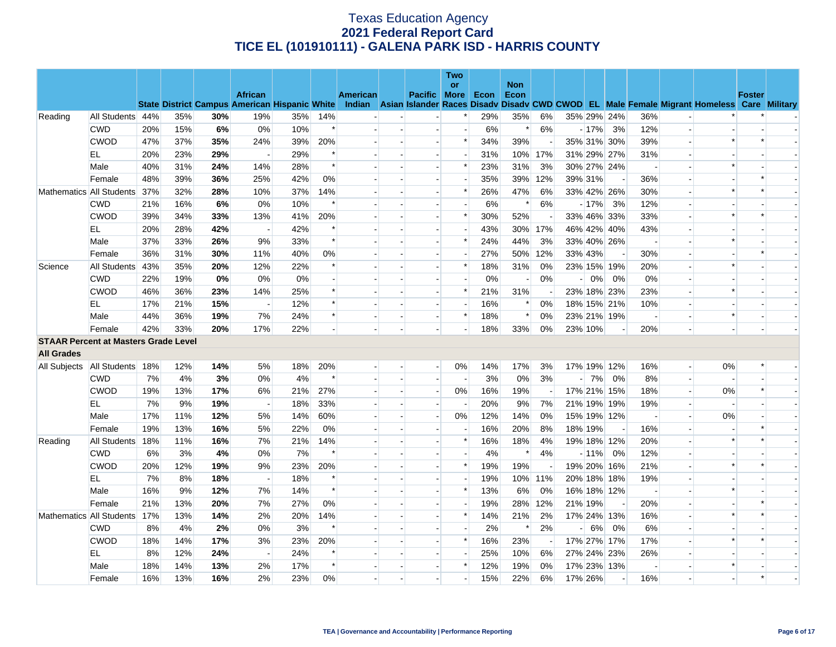|                                             |                  |     |     |     |                          |                                                      |        |          |                          | Two                      |      |                    |                          |                |         |                          |                |                          |                                                                                                  |               |  |
|---------------------------------------------|------------------|-----|-----|-----|--------------------------|------------------------------------------------------|--------|----------|--------------------------|--------------------------|------|--------------------|--------------------------|----------------|---------|--------------------------|----------------|--------------------------|--------------------------------------------------------------------------------------------------|---------------|--|
|                                             |                  |     |     |     | <b>African</b>           |                                                      |        | American | Pacific More             | <b>or</b>                | Econ | <b>Non</b><br>Econ |                          |                |         |                          |                |                          |                                                                                                  | <b>Foster</b> |  |
|                                             |                  |     |     |     |                          | <b>State District Campus American Hispanic White</b> |        |          |                          |                          |      |                    |                          |                |         |                          |                |                          | Indian Asian Islander Races Disady Disady CWD CWOD EL Male Female Migrant Homeless Care Military |               |  |
| Reading                                     | All Students 44% |     | 35% | 30% | 19%                      | 35%                                                  | 14%    |          |                          | $\ast$                   | 29%  | 35%                | 6%                       |                |         | 35% 29% 24%              | 36%            |                          |                                                                                                  |               |  |
|                                             | <b>CWD</b>       | 20% | 15% | 6%  | 0%                       | 10%                                                  | $\ast$ |          |                          | $\overline{a}$           | 6%   | $\ast$             | 6%                       |                | $-17%$  | 3%                       | 12%            | $\overline{a}$           |                                                                                                  |               |  |
|                                             | <b>CWOD</b>      | 47% | 37% | 35% | 24%                      | 39%                                                  | 20%    |          |                          | $\ast$                   | 34%  | 39%                | $\overline{\phantom{a}}$ |                |         | 35% 31% 30%              | 39%            | $\overline{a}$           | $\ast$                                                                                           |               |  |
|                                             | EL.              | 20% | 23% | 29% | $\overline{\phantom{a}}$ | 29%                                                  | $\ast$ |          |                          |                          | 31%  |                    | 10% 17%                  |                |         | 31% 29% 27%              | 31%            |                          |                                                                                                  |               |  |
|                                             | Male             | 40% | 31% | 24% | 14%                      | 28%                                                  | $\ast$ |          |                          | $\ast$                   | 23%  | 31%                | 3%                       |                |         | 30% 27% 24%              |                |                          | $\ast$                                                                                           |               |  |
|                                             | Female           | 48% | 39% | 36% | 25%                      | 42%                                                  | 0%     |          | $\overline{\phantom{a}}$ | $\overline{\phantom{a}}$ | 35%  |                    | 39% 12%                  |                | 39% 31% | $\overline{\phantom{a}}$ | 36%            | $\blacksquare$           |                                                                                                  |               |  |
| Mathematics All Students                    |                  | 37% | 32% | 28% | 10%                      | 37%                                                  | 14%    |          |                          | $\ast$                   | 26%  | 47%                | 6%                       |                |         | 33% 42% 26%              | 30%            | $\overline{\phantom{a}}$ | $\ast$                                                                                           |               |  |
|                                             | <b>CWD</b>       | 21% | 16% | 6%  | 0%                       | 10%                                                  | $\ast$ |          |                          |                          | 6%   | $\ast$             | 6%                       |                | $-17%$  | 3%                       | 12%            | $\overline{a}$           |                                                                                                  |               |  |
|                                             | <b>CWOD</b>      | 39% | 34% | 33% | 13%                      | 41%                                                  | 20%    |          |                          | $\ast$                   | 30%  | 52%                |                          |                |         | 33% 46% 33%              | 33%            |                          | $\ast$                                                                                           |               |  |
|                                             | EL               | 20% | 28% | 42% |                          | 42%                                                  | $\ast$ |          |                          |                          | 43%  |                    | 30% 17%                  |                |         | 46% 42% 40%              | 43%            |                          |                                                                                                  |               |  |
|                                             | Male             | 37% | 33% | 26% | 9%                       | 33%                                                  | $\ast$ |          | $\overline{a}$           | $\ast$                   | 24%  | 44%                | 3%                       |                |         | 33% 40% 26%              | $\overline{a}$ | $\overline{a}$           |                                                                                                  |               |  |
|                                             | Female           | 36% | 31% | 30% | 11%                      | 40%                                                  | 0%     |          |                          |                          | 27%  |                    | 50% 12%                  |                | 33% 43% |                          | 30%            |                          |                                                                                                  |               |  |
| Science                                     | All Students     | 43% | 35% | 20% | 12%                      | 22%                                                  | $\ast$ |          |                          | $\ast$                   | 18%  | 31%                | 0%                       |                |         | 23% 15% 19%              | 20%            | $\overline{a}$           | $\ast$                                                                                           |               |  |
|                                             | <b>CWD</b>       | 22% | 19% | 0%  | 0%                       | $0\%$                                                |        |          |                          |                          | 0%   |                    | $0\%$                    |                | 0%      | 0%                       | 0%             |                          |                                                                                                  |               |  |
|                                             | <b>CWOD</b>      | 46% | 36% | 23% | 14%                      | 25%                                                  | $\ast$ |          |                          | $\ast$                   | 21%  | 31%                |                          |                |         | 23% 18% 23%              | 23%            |                          | $\ast$                                                                                           |               |  |
|                                             | EL               | 17% | 21% | 15% | $\overline{\phantom{a}}$ | 12%                                                  | $\ast$ |          | $\overline{\phantom{a}}$ |                          | 16%  | ∗                  | 0%                       |                |         | 18% 15% 21%              | 10%            | $\overline{a}$           |                                                                                                  |               |  |
|                                             | Male             | 44% | 36% | 19% | 7%                       | 24%                                                  | $\ast$ |          |                          | $\ast$                   | 18%  | $\ast$             | 0%                       |                |         | 23% 21% 19%              |                |                          | $\ast$                                                                                           |               |  |
|                                             | Female           | 42% | 33% | 20% | 17%                      | 22%                                                  |        |          |                          |                          | 18%  | 33%                | 0%                       |                | 23% 10% |                          | 20%            |                          |                                                                                                  |               |  |
| <b>STAAR Percent at Masters Grade Level</b> |                  |     |     |     |                          |                                                      |        |          |                          |                          |      |                    |                          |                |         |                          |                |                          |                                                                                                  |               |  |
| <b>All Grades</b>                           |                  |     |     |     |                          |                                                      |        |          |                          |                          |      |                    |                          |                |         |                          |                |                          |                                                                                                  |               |  |
| All Subjects   All Students   18%           |                  |     | 12% | 14% | 5%                       | 18%                                                  | 20%    |          | $\sim$                   | 0%                       | 14%  | 17%                | 3%                       |                |         | 17% 19% 12%              | 16%            | $\overline{\phantom{a}}$ | 0%                                                                                               |               |  |
|                                             | <b>CWD</b>       | 7%  | 4%  | 3%  | $0\%$                    | 4%                                                   | $\ast$ |          |                          | $\overline{\phantom{a}}$ | 3%   | 0%                 | 3%                       | $\overline{a}$ | 7%      | 0%                       | 8%             | $\overline{\phantom{a}}$ |                                                                                                  |               |  |
|                                             | <b>CWOD</b>      | 19% | 13% | 17% | 6%                       | 21%                                                  | 27%    |          |                          | $0\%$                    | 16%  | 19%                | $\overline{\phantom{a}}$ |                |         | 17% 21% 15%              | 18%            | $\overline{\phantom{a}}$ | 0%                                                                                               | $\ast$        |  |
|                                             | EL               | 7%  | 9%  | 19% | $\overline{a}$           | 18%                                                  | 33%    |          |                          |                          | 20%  | 9%                 | 7%                       |                |         | 21% 19% 19%              | 19%            | $\blacksquare$           |                                                                                                  |               |  |
|                                             | Male             | 17% | 11% | 12% | 5%                       | 14%                                                  | 60%    |          |                          | $0\%$                    | 12%  | 14%                | 0%                       |                |         | 15% 19% 12%              |                |                          | 0%                                                                                               |               |  |
|                                             | Female           | 19% | 13% | 16% | 5%                       | 22%                                                  | 0%     |          |                          |                          | 16%  | 20%                | 8%                       |                | 18% 19% | $\overline{\phantom{a}}$ | 16%            | $\blacksquare$           |                                                                                                  |               |  |
| Reading                                     | All Students     | 18% | 11% | 16% | 7%                       | 21%                                                  | 14%    |          |                          | $\ast$                   | 16%  | 18%                | 4%                       |                |         | 19% 18% 12%              | 20%            | $\overline{a}$           |                                                                                                  |               |  |
|                                             | <b>CWD</b>       | 6%  | 3%  | 4%  | 0%                       | 7%                                                   | $\ast$ |          |                          |                          | 4%   | $\ast$             | 4%                       |                | $-11%$  | 0%                       | 12%            |                          |                                                                                                  |               |  |
|                                             | <b>CWOD</b>      | 20% | 12% | 19% | 9%                       | 23%                                                  | 20%    |          |                          | $\ast$                   | 19%  | 19%                |                          |                |         | 19% 20% 16%              | 21%            |                          |                                                                                                  |               |  |
|                                             | EL               | 7%  | 8%  | 18% |                          | 18%                                                  | $\ast$ |          |                          |                          | 19%  |                    | 10% 11%                  |                |         | 20% 18% 18%              | 19%            |                          |                                                                                                  |               |  |
|                                             | Male             | 16% | 9%  | 12% | 7%                       | 14%                                                  | $\ast$ |          | $\overline{\phantom{a}}$ | $\ast$                   | 13%  | 6%                 | 0%                       |                |         | 16% 18% 12%              | $\overline{a}$ | $\overline{a}$           | ∗                                                                                                |               |  |
|                                             | Female           | 21% | 13% | 20% | 7%                       | 27%                                                  | 0%     |          |                          |                          | 19%  |                    | 28% 12%                  |                | 21% 19% |                          | 20%            | $\overline{\phantom{a}}$ |                                                                                                  |               |  |
| Mathematics All Students                    |                  | 17% | 13% | 14% | 2%                       | 20%                                                  | 14%    |          |                          | $\ast$                   | 14%  | 21%                | 2%                       |                |         | 17% 24% 13%              | 16%            | $\overline{a}$           | $\ast$                                                                                           |               |  |
|                                             | <b>CWD</b>       | 8%  | 4%  | 2%  | 0%                       | 3%                                                   | $\ast$ |          |                          |                          | 2%   | $\ast$             | 2%                       |                | 6%      | 0%                       | 6%             | $\overline{\phantom{a}}$ |                                                                                                  |               |  |
|                                             | <b>CWOD</b>      | 18% | 14% | 17% | 3%                       | 23%                                                  | 20%    |          |                          | $\ast$                   | 16%  | 23%                |                          |                |         | 17% 27% 17%              | 17%            |                          | $\ast$                                                                                           |               |  |
|                                             | EL               | 8%  | 12% | 24% | $\overline{a}$           | 24%                                                  | $\ast$ |          | $\overline{\phantom{a}}$ |                          | 25%  | 10%                | 6%                       |                |         | 27% 24% 23%              | 26%            |                          |                                                                                                  |               |  |
|                                             | Male             | 18% | 14% | 13% | 2%                       | 17%                                                  | $\ast$ |          |                          | $\ast$                   | 12%  | 19%                | 0%                       |                |         | 17% 23% 13%              |                |                          | $\ast$                                                                                           |               |  |
|                                             | Female           | 16% | 13% | 16% | 2%                       | 23%                                                  | 0%     |          |                          |                          | 15%  | 22%                | 6%                       |                | 17% 26% |                          | 16%            |                          |                                                                                                  |               |  |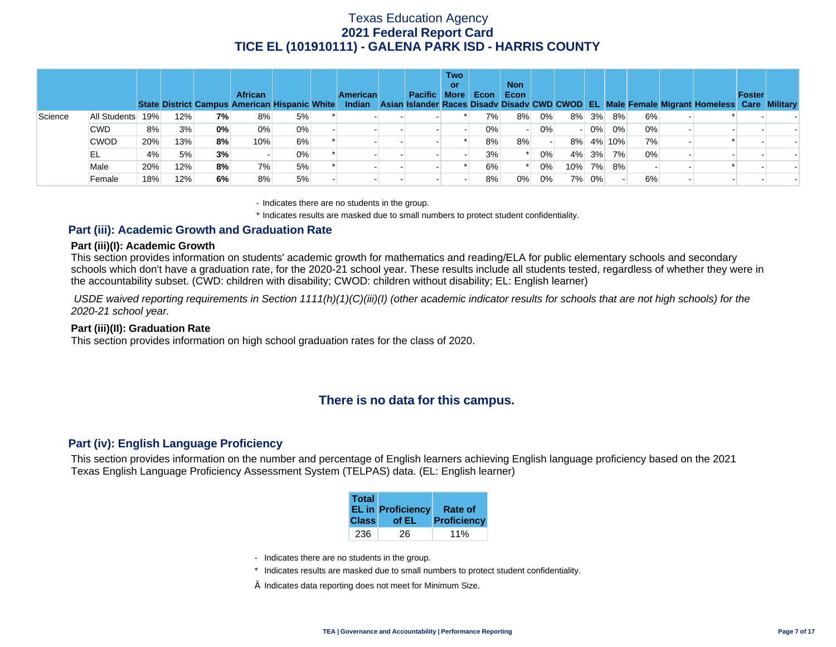|         |              |     |     |    | <b>African</b><br>State District Campus American Hispanic White |    | <b>American</b><br>Indian | Pacific More | <b>Two</b><br>or | Econ  | <b>Non</b><br>Econ |       |                          |          |        |    | Asian Islander Races Disady Disady CWD CWOD EL Male Female Migrant Homeless Care Military | <b>Foster</b> |  |
|---------|--------------|-----|-----|----|-----------------------------------------------------------------|----|---------------------------|--------------|------------------|-------|--------------------|-------|--------------------------|----------|--------|----|-------------------------------------------------------------------------------------------|---------------|--|
| Science | All Students | 19% | 12% | 7% | 8%                                                              | 5% |                           |              |                  | 7%    | 8%                 | 0%    |                          | $8\%$ 3% | 8%     | 6% |                                                                                           |               |  |
|         | <b>CWD</b>   | 8%  | 3%  | 0% | 0%                                                              | 0% |                           |              |                  | $0\%$ |                    | $0\%$ | $\overline{\phantom{0}}$ | $0\%$    | 0%     | 0% |                                                                                           |               |  |
|         | <b>CWOD</b>  | 20% | 13% | 8% | 10%                                                             | 6% |                           |              |                  | 8%    | 8%                 |       | 8%                       |          | 4% 10% | 7% |                                                                                           |               |  |
|         | EL.          | 4%  | 5%  | 3% |                                                                 | 0% |                           |              |                  | 3%    |                    | 0%    |                          | 4% 3%    | 7%     | 0% |                                                                                           |               |  |
|         | Male         | 20% | 12% | 8% | 7%                                                              | 5% |                           |              |                  | 6%    |                    | 0%    |                          | 10% 7%   | 8%     |    |                                                                                           |               |  |
|         | Female       | 18% | 12% | 6% | 8%                                                              | 5% |                           |              |                  | 8%    | $0\%$              | 0%    |                          | 7% 0%    |        | 6% |                                                                                           |               |  |

- Indicates there are no students in the group.

\* Indicates results are masked due to small numbers to protect student confidentiality.

### **Part (iii): Academic Growth and Graduation Rate**

#### **Part (iii)(I): Academic Growth**

This section provides information on students' academic growth for mathematics and reading/ELA for public elementary schools and secondary schools which don't have a graduation rate, for the 2020-21 school year. These results include all students tested, regardless of whether they were in the accountability subset. (CWD: children with disability; CWOD: children without disability; EL: English learner)

 *USDE waived reporting requirements in Section 1111(h)(1)(C)(iii)(I) (other academic indicator results for schools that are not high schools) for the 2020-21 school year.* 

#### **Part (iii)(II): Graduation Rate**

This section provides information on high school graduation rates for the class of 2020.

## **There is no data for this campus.**

### **Part (iv): English Language Proficiency**

This section provides information on the number and percentage of English learners achieving English language proficiency based on the 2021 Texas English Language Proficiency Assessment System (TELPAS) data. (EL: English learner)

| <b>Total</b> | <b>EL in Proficiency</b> | Rate of     |
|--------------|--------------------------|-------------|
| <b>Class</b> | of EL                    | Proficiency |
| 236          | 26                       | 11%         |

- Indicates there are no students in the group.
- \* Indicates results are masked due to small numbers to protect student confidentiality.
- $\diamond$  Indicates data reporting does not meet for Minimum Size.